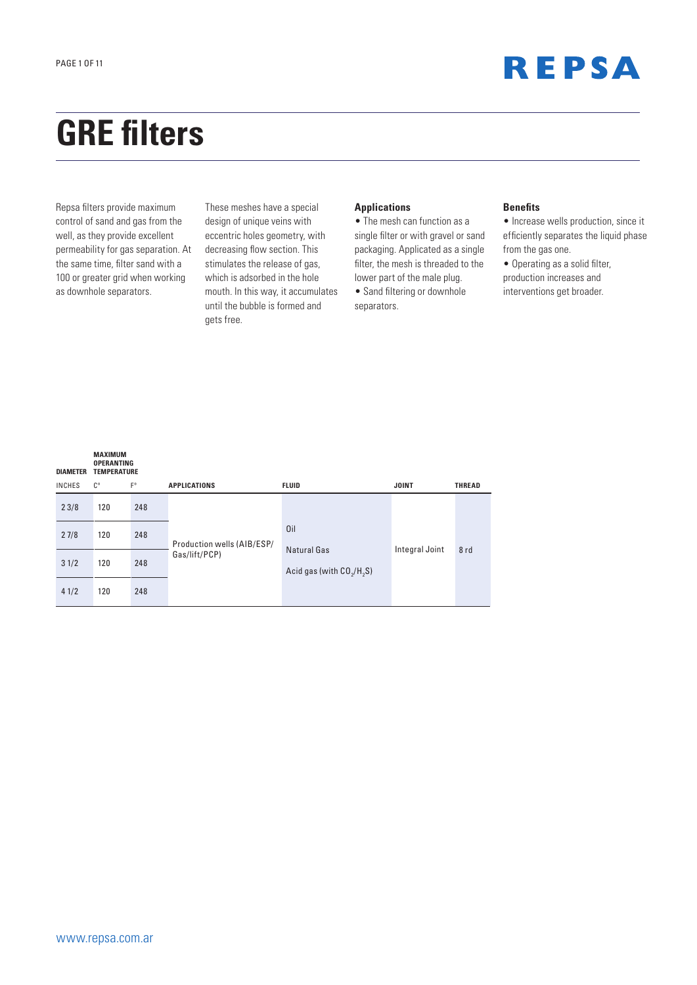

# **GRE filters**

Repsa filters provide maximum control of sand and gas from the well, as they provide excellent permeability for gas separation. At the same time, filter sand with a 100 or greater grid when working as downhole separators.

These meshes have a special design of unique veins with eccentric holes geometry, with decreasing flow section. This stimulates the release of gas, which is adsorbed in the hole mouth. In this way, it accumulates until the bubble is formed and gets free.

#### **Applications**

• The mesh can function as a single filter or with gravel or sand packaging. Applicated as a single filter, the mesh is threaded to the lower part of the male plug.

• Sand filtering or downhole separators.

#### **Benefits**

• Increase wells production, since it efficiently separates the liquid phase from the gas one.

• Operating as a solid filter, production increases and interventions get broader.

| <b>DIAMETER</b> | <b>MAXIMUM</b><br><b>OPERANTING</b><br><b>TEMPERATURE</b> |             |                            |                            |                |               |
|-----------------|-----------------------------------------------------------|-------------|----------------------------|----------------------------|----------------|---------------|
| <b>INCHES</b>   | $C^{\circ}$                                               | $F^{\circ}$ | <b>APPLICATIONS</b>        | <b>FLUID</b>               | <b>JOINT</b>   | <b>THREAD</b> |
| 23/8            | 120                                                       | 248         |                            |                            |                |               |
| 27/8            | 120                                                       | 248         | Production wells (AIB/ESP/ | Oil<br>Natural Gas         |                |               |
| 31/2            | 120                                                       | 248         | Gas/lift/PCP)              | Acid gas (with $CO2/H2S$ ) | Integral Joint | 8rd           |
| 41/2            | 120                                                       | 248         |                            |                            |                |               |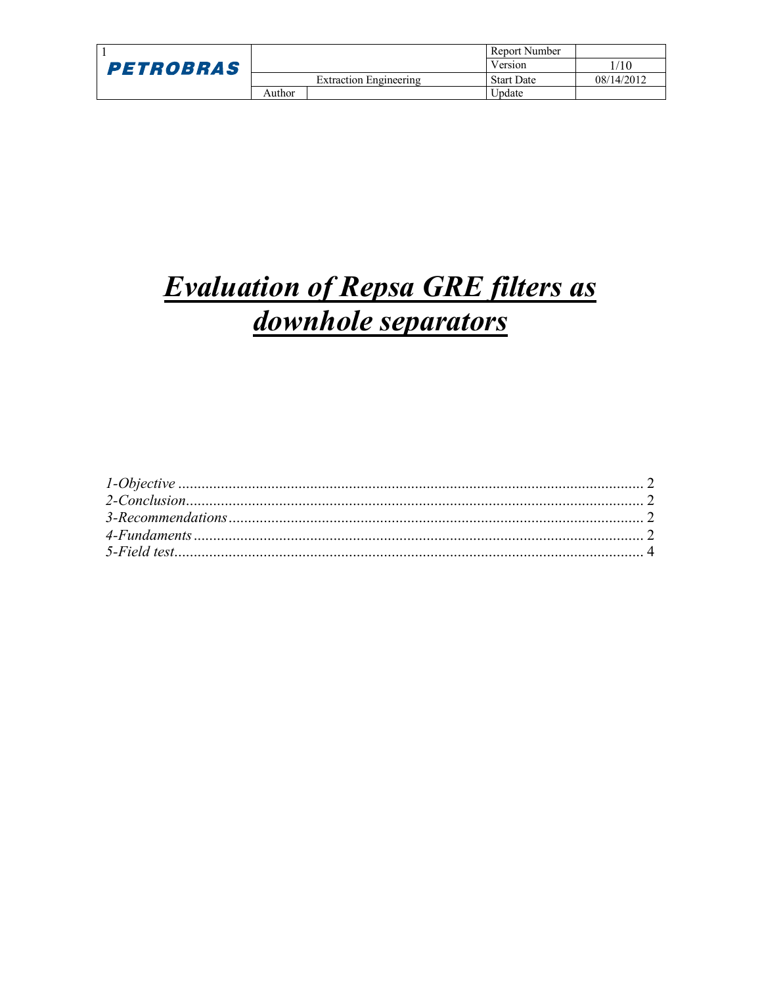|                  |        |                        | Report Number     |            |
|------------------|--------|------------------------|-------------------|------------|
| <b>PETROBRAS</b> |        |                        | Version           | 1/10       |
|                  |        | Extraction Engineering | <b>Start Date</b> | 08/14/2012 |
|                  | Author |                        | Update            |            |

## **Evaluation of Repsa GRE filters as** downhole separators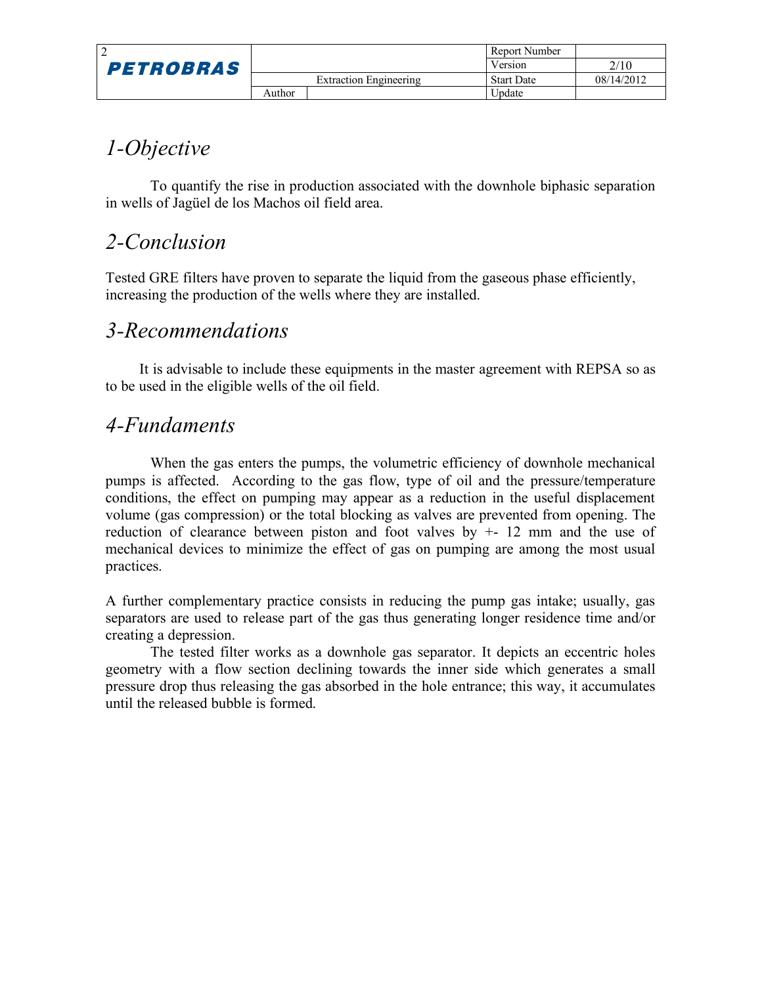|                  |        |                        | Report Number     |            |
|------------------|--------|------------------------|-------------------|------------|
| <b>PETROBRAS</b> |        |                        | Version           | 2/10       |
|                  |        | Extraction Engineering | <b>Start Date</b> | 08/14/2012 |
|                  | Author |                        | Update            |            |

### *1-Objective*

To quantify the rise in production associated with the downhole biphasic separation in wells of Jagüel de los Machos oil field area.

#### *2-Conclusion*

Tested GRE filters have proven to separate the liquid from the gaseous phase efficiently, increasing the production of the wells where they are installed.

#### *3-Recommendations*

It is advisable to include these equipments in the master agreement with REPSA so as to be used in the eligible wells of the oil field.

#### *4-Fundaments*

When the gas enters the pumps, the volumetric efficiency of downhole mechanical pumps is affected. According to the gas flow, type of oil and the pressure/temperature conditions, the effect on pumping may appear as a reduction in the useful displacement volume (gas compression) or the total blocking as valves are prevented from opening. The reduction of clearance between piston and foot valves by  $+$  12 mm and the use of mechanical devices to minimize the effect of gas on pumping are among the most usual practices.

A further complementary practice consists in reducing the pump gas intake; usually, gas separators are used to release part of the gas thus generating longer residence time and/or creating a depression.

The tested filter works as a downhole gas separator. It depicts an eccentric holes geometry with a flow section declining towards the inner side which generates a small pressure drop thus releasing the gas absorbed in the hole entrance; this way, it accumulates until the released bubble is formed.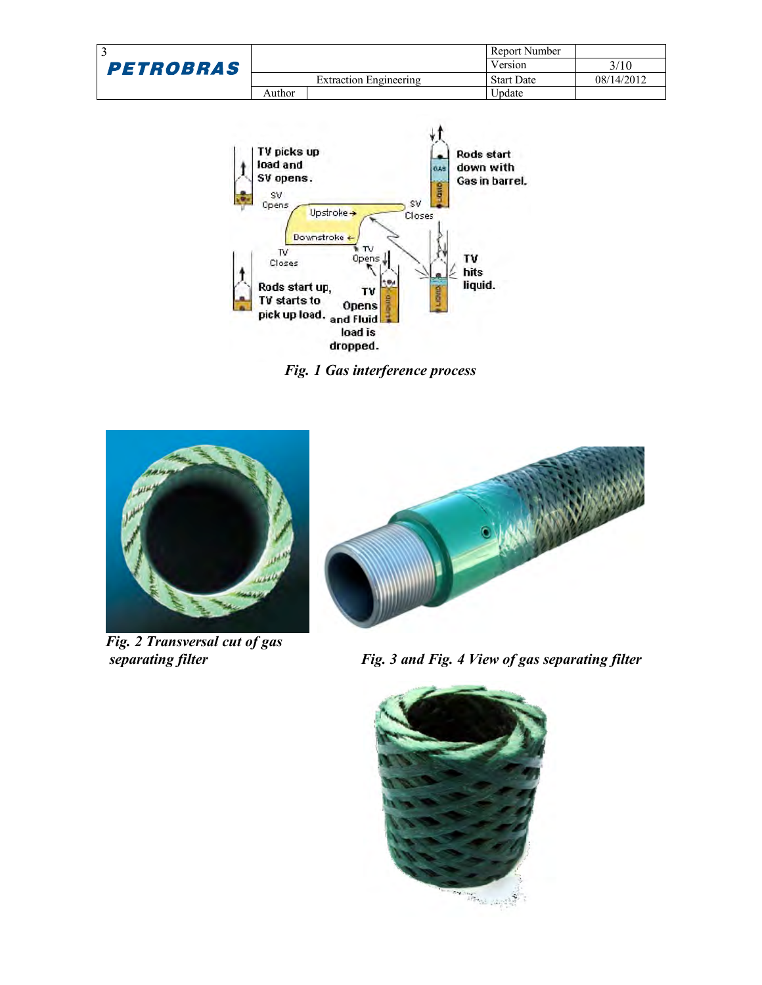|                  |        |                        | Report Number     |            |
|------------------|--------|------------------------|-------------------|------------|
| <b>PETROBRAS</b> |        |                        | Version           | 3/10       |
|                  |        | Extraction Engineering | <b>Start Date</b> | 08/14/2012 |
|                  | Author |                        | Update            |            |



*Fig. 1 Gas interference process*



*Fig. 2 Transversal cut of gas*



*separating filter Fig. 3 and Fig. 4 View of gas separating filter*

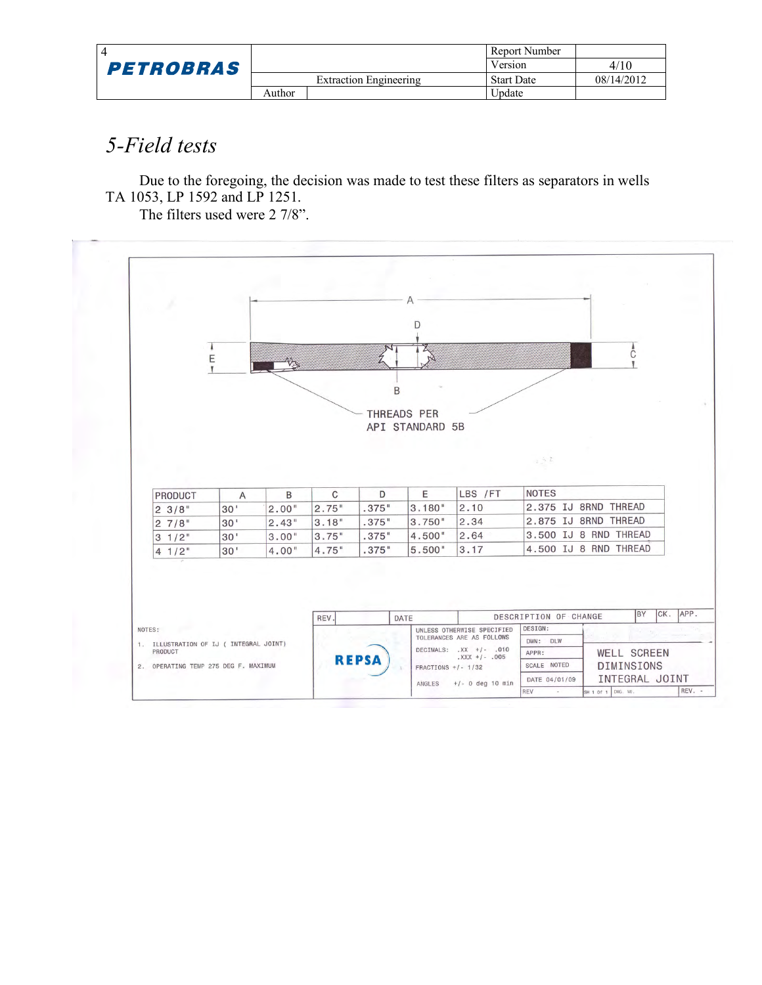|                  |        |                        | Report Number     |            |
|------------------|--------|------------------------|-------------------|------------|
| <b>PETROBRAS</b> |        |                        | Version           | 4/10       |
|                  |        | Extraction Engineering | <b>Start Date</b> | 08/14/2012 |
|                  | Author |                        | <b>J</b> pdate    |            |

## *5-Field tests*

Due to the foregoing, the decision was made to test these filters as separators in wells TA 1053, LP 1592 and LP 1251.

The filters used were 2 7/8".

|                 |                 |            |       |       | D               |                            |                                         |                       |
|-----------------|-----------------|------------|-------|-------|-----------------|----------------------------|-----------------------------------------|-----------------------|
|                 | Ε               | <b>VSS</b> |       |       |                 |                            |                                         | C                     |
|                 |                 |            |       |       |                 |                            |                                         |                       |
|                 |                 |            |       | B     |                 |                            |                                         |                       |
|                 |                 |            |       |       | THREADS PER     |                            |                                         |                       |
|                 |                 |            |       |       | API STANDARD 5B |                            |                                         |                       |
|                 |                 |            |       |       |                 |                            |                                         |                       |
|                 |                 |            |       |       |                 |                            | $\mathbb{R}^n$ , $\mathbb{R}^n$         |                       |
|                 |                 |            |       |       |                 |                            |                                         |                       |
|                 |                 |            |       |       |                 |                            |                                         |                       |
| <b>PRODUCT</b>  | $\overline{A}$  | B          | C     | D     | E               | LBS /FT                    | <b>NOTES</b>                            |                       |
| 23/8"           | 30'             | 2.00"      | 2.75" | .375" | 3.180"          | 2.10                       |                                         | 2.375 IJ 8RND THREAD  |
| 27/8"           | 30 <sup>1</sup> | 2.43"      | 3.18" | .375" | 3.750"          | 2.34                       |                                         | 2.875 IJ 8RND THREAD  |
| $3 \frac{1}{2}$ | 30'             | 3.00"      | 3.75" | .375" | 4.500"          | 2.64                       |                                         | 3.500 IJ 8 RND THREAD |
| $41/2$ "        | 30'             | 4.00"      | 4.75" | .375" | 5.500"          | 3.17                       |                                         | 4.500 IJ 8 RND THREAD |
|                 |                 |            |       |       |                 |                            |                                         |                       |
|                 |                 |            |       |       |                 |                            |                                         |                       |
|                 |                 |            |       |       |                 |                            |                                         |                       |
|                 |                 |            |       |       |                 |                            |                                         | BY<br>CK.             |
| NOTES:          |                 |            | REV.  |       | DATE            | UNLESS OTHERWISE SPECIFIED | DESCRIPTION OF CHANGE<br><b>DESIGN:</b> |                       |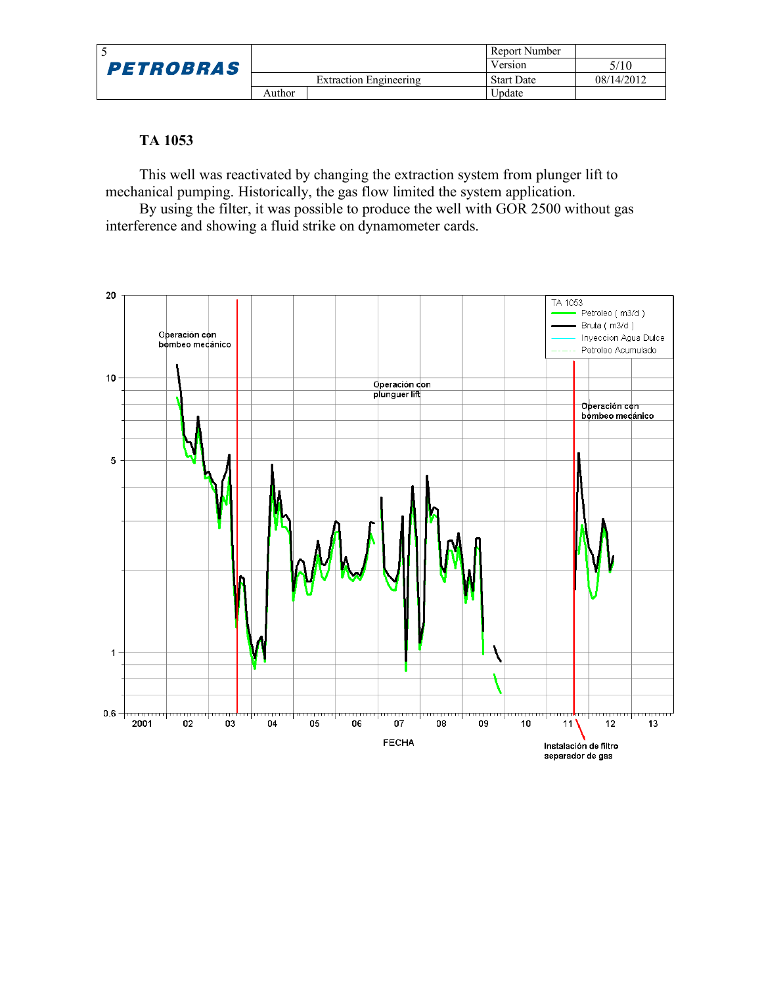|                  |        |                        | Report Number     |            |
|------------------|--------|------------------------|-------------------|------------|
| <b>PETROBRAS</b> |        |                        | Version           | 5/10       |
|                  |        | Extraction Engineering | <b>Start Date</b> | 08/14/2012 |
|                  | Author |                        | Update            |            |

#### **TA 1053**

This well was reactivated by changing the extraction system from plunger lift to mechanical pumping. Historically, the gas flow limited the system application.

By using the filter, it was possible to produce the well with GOR 2500 without gas interference and showing a fluid strike on dynamometer cards.

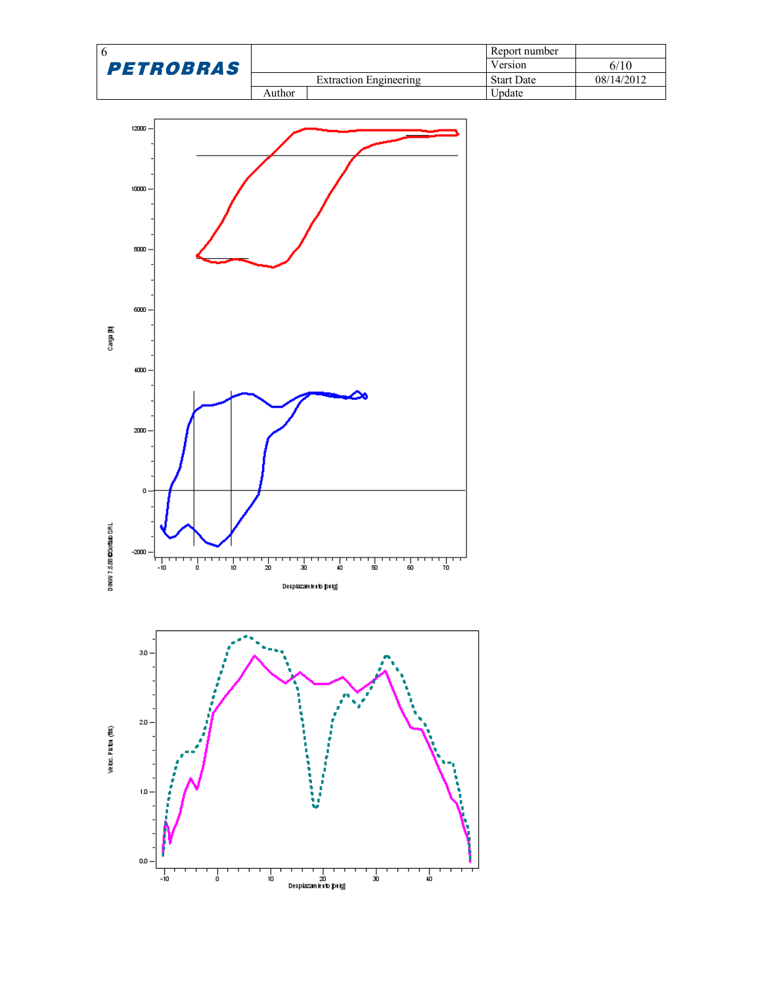|                  |        |                        | Report number     |            |
|------------------|--------|------------------------|-------------------|------------|
| <b>PETROBRAS</b> |        |                        | Version           | 6/10       |
|                  |        | Extraction Engineering | <b>Start Date</b> | 08/14/2012 |
|                  | Author |                        | Update            |            |



| | | | |<br>| 20<br>|Desplazam lento pulgj

 $\frac{1}{10}$ 

 $\frac{1}{30}$ 

 $\frac{1}{40}$ 

 $\frac{1}{10}$ 

Ţ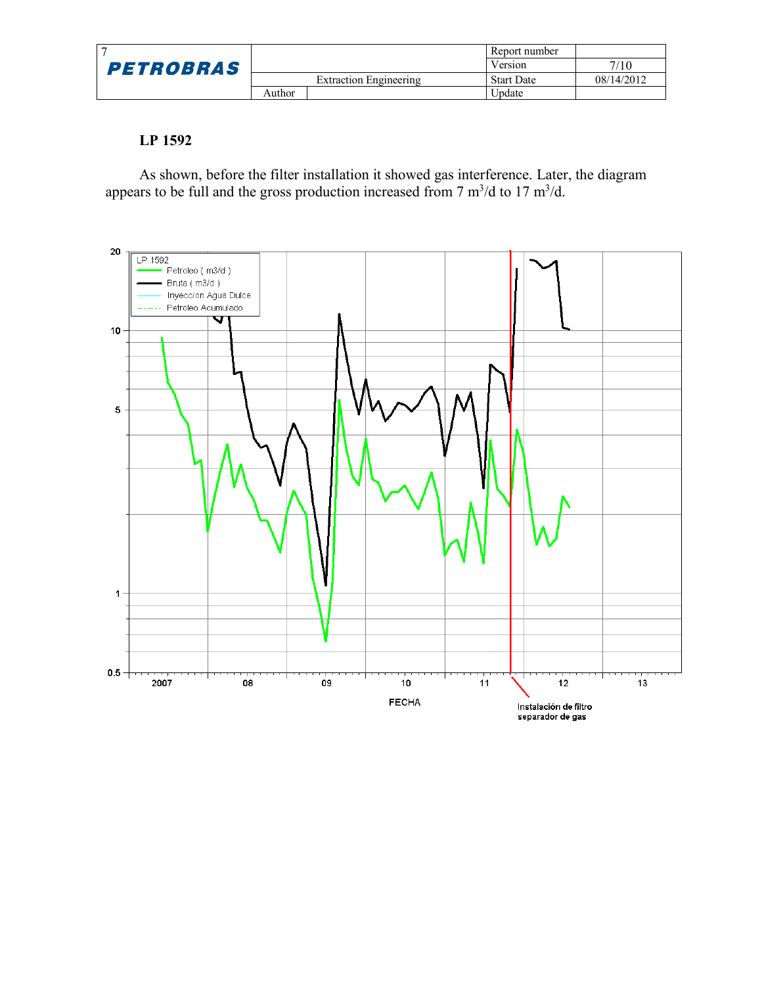|                  |        |                        | Report number     |            |
|------------------|--------|------------------------|-------------------|------------|
| <b>PETROBRAS</b> |        |                        | Version           | 7/10       |
|                  |        | Extraction Engineering | <b>Start Date</b> | 08/14/2012 |
|                  | Author |                        | Update            |            |

#### **LP 1592**

As shown, before the filter installation it showed gas interference. Later, the diagram appears to be full and the gross production increased from  $7 \text{ m}^3/\text{d}$  to  $17 \text{ m}^3/\text{d}$ .

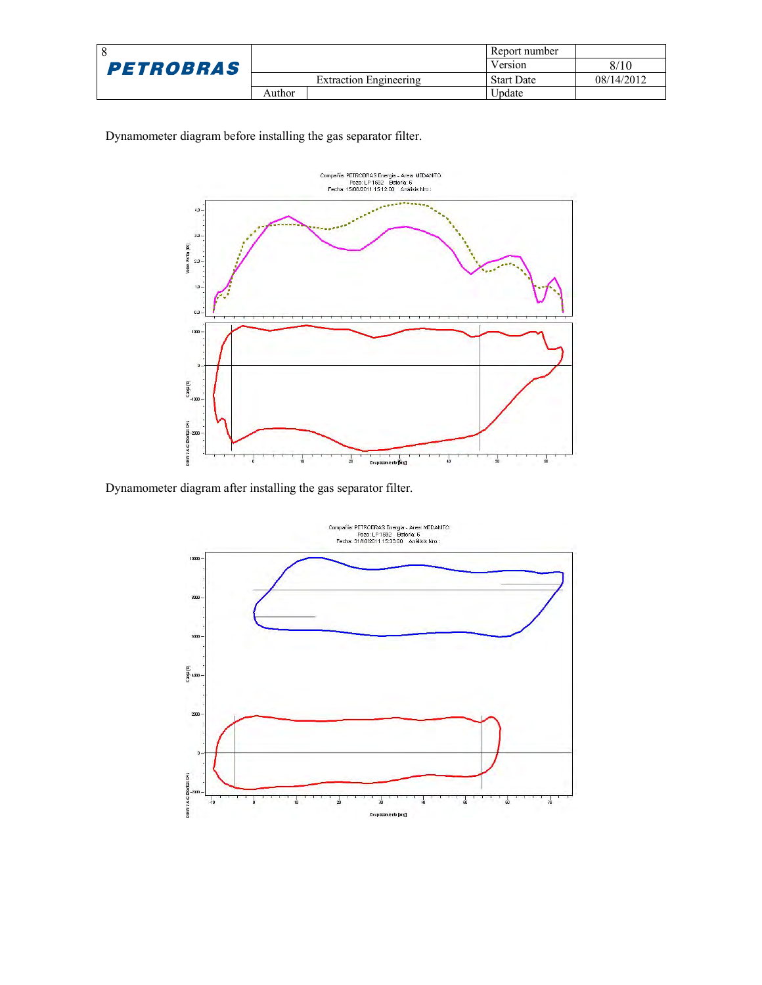|                  |        |                        | Report number     |            |
|------------------|--------|------------------------|-------------------|------------|
| <b>PETROBRAS</b> |        |                        | Version           | 8/10       |
|                  |        | Extraction Engineering | <b>Start Date</b> | 08/14/2012 |
|                  | Author |                        | Update            |            |

Dynamometer diagram before installing the gas separator filter.



Dynamometer diagram after installing the gas separator filter.

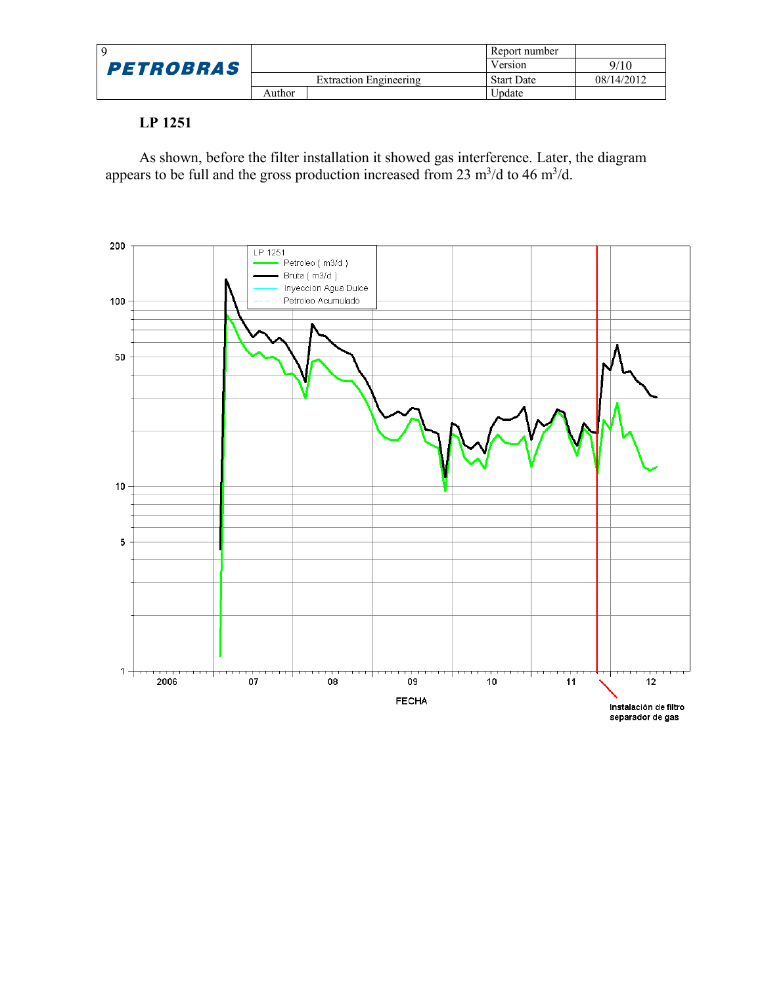|                  |        |                               | Report number     |            |
|------------------|--------|-------------------------------|-------------------|------------|
| <b>PETROBRAS</b> |        |                               | Version           | 9/10       |
|                  |        | <b>Extraction Engineering</b> | <b>Start Date</b> | 08/14/2012 |
|                  | Author |                               | Update            |            |

#### **LP 1251**

As shown, before the filter installation it showed gas interference. Later, the diagram appears to be full and the gross production increased from 23  $\mathrm{m}^3/\mathrm{d}$  to 46  $\mathrm{m}^3/\mathrm{d}$ .